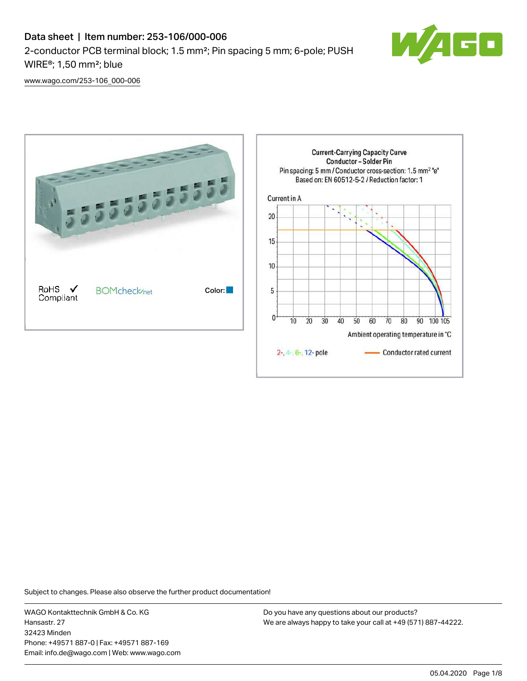# Data sheet | Item number: 253-106/000-006 2-conductor PCB terminal block; 1.5 mm²; Pin spacing 5 mm; 6-pole; PUSH WIRE®; 1,50 mm²; blue



[www.wago.com/253-106\\_000-006](http://www.wago.com/253-106_000-006)



Subject to changes. Please also observe the further product documentation!

WAGO Kontakttechnik GmbH & Co. KG Hansastr. 27 32423 Minden Phone: +49571 887-0 | Fax: +49571 887-169 Email: info.de@wago.com | Web: www.wago.com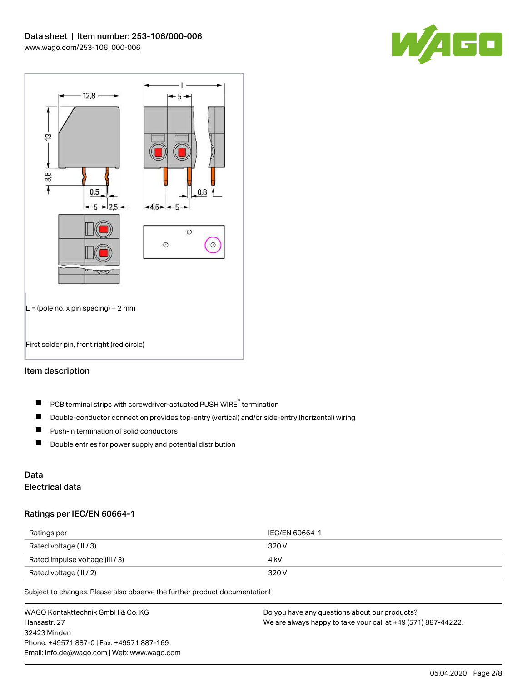



## Item description

- PCB terminal strips with screwdriver-actuated PUSH WIRE® termination  $\blacksquare$
- $\blacksquare$ Double-conductor connection provides top-entry (vertical) and/or side-entry (horizontal) wiring
- $\blacksquare$ Push-in termination of solid conductors
- $\blacksquare$ Double entries for power supply and potential distribution

# Data

# Electrical data

#### Ratings per IEC/EN 60664-1

| Ratings per                     | IEC/EN 60664-1 |
|---------------------------------|----------------|
| Rated voltage (III / 3)         | 320 V          |
| Rated impulse voltage (III / 3) | 4 kV           |
| Rated voltage (III / 2)         | 320 V          |

Subject to changes. Please also observe the further product documentation!

WAGO Kontakttechnik GmbH & Co. KG Hansastr. 27 32423 Minden Phone: +49571 887-0 | Fax: +49571 887-169 Email: info.de@wago.com | Web: www.wago.com Do you have any questions about our products? We are always happy to take your call at +49 (571) 887-44222.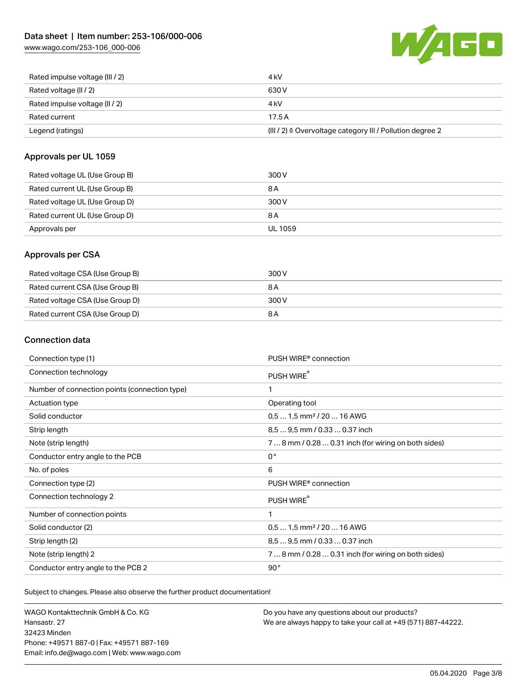[www.wago.com/253-106\\_000-006](http://www.wago.com/253-106_000-006)



| Rated impulse voltage (III / 2) | 4 kV                                                      |
|---------------------------------|-----------------------------------------------------------|
| Rated voltage (II / 2)          | 630 V                                                     |
| Rated impulse voltage (II / 2)  | 4 kV                                                      |
| Rated current                   | 17.5A                                                     |
| Legend (ratings)                | (III / 2) ≙ Overvoltage category III / Pollution degree 2 |

#### Approvals per UL 1059

| Rated voltage UL (Use Group B) | 300 V          |
|--------------------------------|----------------|
| Rated current UL (Use Group B) | 8 A            |
| Rated voltage UL (Use Group D) | 300 V          |
| Rated current UL (Use Group D) | 8 A            |
| Approvals per                  | <b>UL 1059</b> |

#### Approvals per CSA

| Rated voltage CSA (Use Group B) | 300 V |
|---------------------------------|-------|
| Rated current CSA (Use Group B) | 8 A   |
| Rated voltage CSA (Use Group D) | 300 V |
| Rated current CSA (Use Group D) | 8 A   |

## Connection data

| Connection type (1)                           | PUSH WIRE <sup>®</sup> connection                    |
|-----------------------------------------------|------------------------------------------------------|
| Connection technology                         | PUSH WIRE®                                           |
| Number of connection points (connection type) | 1                                                    |
| Actuation type                                | Operating tool                                       |
| Solid conductor                               | $0.51.5$ mm <sup>2</sup> / 20  16 AWG                |
| Strip length                                  | 8,5  9,5 mm / 0.33  0.37 inch                        |
| Note (strip length)                           | 7  8 mm / 0.28  0.31 inch (for wiring on both sides) |
| Conductor entry angle to the PCB              | $0^{\circ}$                                          |
| No. of poles                                  | 6                                                    |
| Connection type (2)                           | PUSH WIRE <sup>®</sup> connection                    |
| Connection technology 2                       | PUSH WIRE®                                           |
| Number of connection points                   | 1                                                    |
| Solid conductor (2)                           | $0.51.5$ mm <sup>2</sup> / 20  16 AWG                |
| Strip length (2)                              | 8.5  9.5 mm / 0.33  0.37 inch                        |
| Note (strip length) 2                         | 7  8 mm / 0.28  0.31 inch (for wiring on both sides) |
| Conductor entry angle to the PCB 2            | 90°                                                  |

Subject to changes. Please also observe the further product documentation!

WAGO Kontakttechnik GmbH & Co. KG Hansastr. 27 32423 Minden Phone: +49571 887-0 | Fax: +49571 887-169 Email: info.de@wago.com | Web: www.wago.com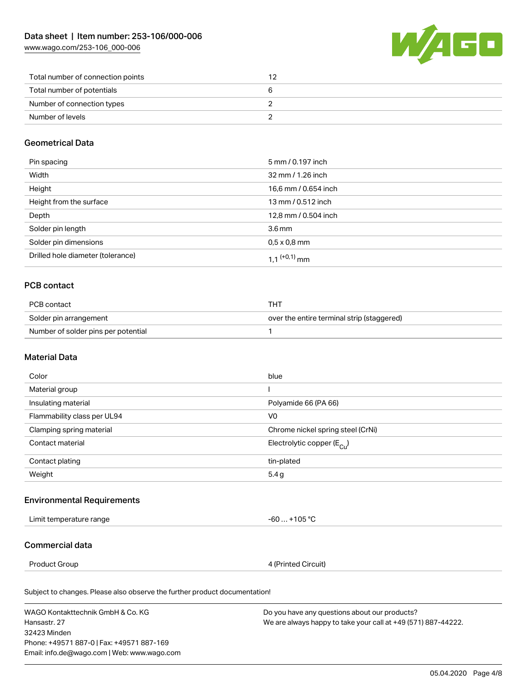[www.wago.com/253-106\\_000-006](http://www.wago.com/253-106_000-006)



| Total number of connection points |  |
|-----------------------------------|--|
| Total number of potentials        |  |
| Number of connection types        |  |
| Number of levels                  |  |

#### Geometrical Data

| Pin spacing                       | 5 mm / 0.197 inch          |
|-----------------------------------|----------------------------|
| Width                             | 32 mm / 1.26 inch          |
| Height                            | 16,6 mm / 0.654 inch       |
| Height from the surface           | 13 mm / 0.512 inch         |
| Depth                             | 12,8 mm / 0.504 inch       |
| Solder pin length                 | $3.6 \,\mathrm{mm}$        |
| Solder pin dimensions             | $0.5 \times 0.8$ mm        |
| Drilled hole diameter (tolerance) | $1.1$ <sup>(+0,1)</sup> mm |

## PCB contact

| PCB contact                         | THT                                        |
|-------------------------------------|--------------------------------------------|
| Solder pin arrangement              | over the entire terminal strip (staggered) |
| Number of solder pins per potential |                                            |

#### Material Data

| Color                       | blue                                  |
|-----------------------------|---------------------------------------|
| Material group              |                                       |
| Insulating material         | Polyamide 66 (PA 66)                  |
| Flammability class per UL94 | V <sub>0</sub>                        |
| Clamping spring material    | Chrome nickel spring steel (CrNi)     |
| Contact material            | Electrolytic copper $(E_{\text{Cl}})$ |
| Contact plating             | tin-plated                            |
| Weight                      | 5.4g                                  |

# Environmental Requirements

| I imit<br>emperature range<br>. | 105 °C<br>rr<br>--<br>∼ |
|---------------------------------|-------------------------|
|                                 |                         |

#### Commercial data

Product Group **4** (Printed Circuit)

Subject to changes. Please also observe the further product documentation!

WAGO Kontakttechnik GmbH & Co. KG Hansastr. 27 32423 Minden Phone: +49571 887-0 | Fax: +49571 887-169 Email: info.de@wago.com | Web: www.wago.com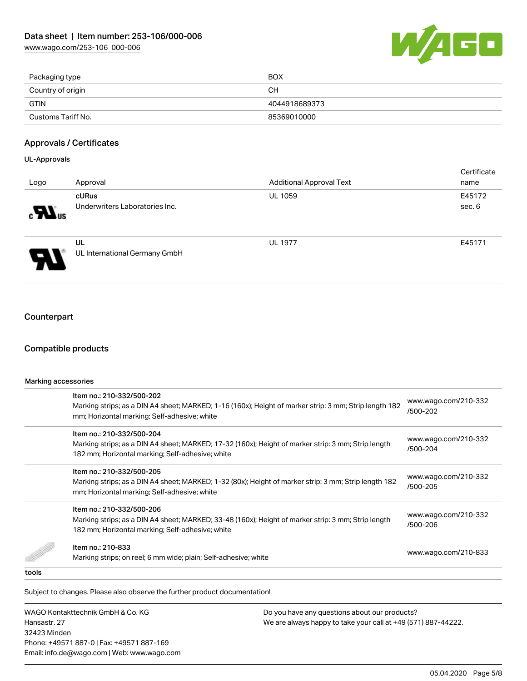

| Packaging type     | BOX           |
|--------------------|---------------|
| Country of origin  | CН            |
| <b>GTIN</b>        | 4044918689373 |
| Customs Tariff No. | 85369010000   |

#### Approvals / Certificates

#### UL-Approvals

| Logo                       | Approval                                | <b>Additional Approval Text</b> | Certificate<br>name |
|----------------------------|-----------------------------------------|---------------------------------|---------------------|
| $\mathbf{M}$ <sub>us</sub> | cURus<br>Underwriters Laboratories Inc. | <b>UL 1059</b>                  | E45172<br>sec. 6    |
| J                          | UL<br>UL International Germany GmbH     | <b>UL 1977</b>                  | E45171              |

# **Counterpart**

#### Compatible products

| Marking accessories |                                                                                                                                                                                      |                                  |  |  |
|---------------------|--------------------------------------------------------------------------------------------------------------------------------------------------------------------------------------|----------------------------------|--|--|
|                     | Item no.: 210-332/500-202<br>Marking strips; as a DIN A4 sheet; MARKED; 1-16 (160x); Height of marker strip: 3 mm; Strip length 182<br>mm; Horizontal marking; Self-adhesive; white  | www.wago.com/210-332<br>/500-202 |  |  |
|                     | Item no.: 210-332/500-204<br>Marking strips; as a DIN A4 sheet; MARKED; 17-32 (160x); Height of marker strip: 3 mm; Strip length<br>182 mm; Horizontal marking; Self-adhesive; white | www.wago.com/210-332<br>/500-204 |  |  |
|                     | Item no.: 210-332/500-205<br>Marking strips; as a DIN A4 sheet; MARKED; 1-32 (80x); Height of marker strip: 3 mm; Strip length 182<br>mm; Horizontal marking; Self-adhesive; white   | www.wago.com/210-332<br>/500-205 |  |  |
|                     | Item no.: 210-332/500-206<br>Marking strips; as a DIN A4 sheet; MARKED; 33-48 (160x); Height of marker strip: 3 mm; Strip length<br>182 mm; Horizontal marking; Self-adhesive; white | www.wago.com/210-332<br>/500-206 |  |  |
|                     | Item no.: 210-833<br>Marking strips; on reel; 6 mm wide; plain; Self-adhesive; white                                                                                                 | www.wago.com/210-833             |  |  |
| tools               |                                                                                                                                                                                      |                                  |  |  |

Subject to changes. Please also observe the further product documentation!

WAGO Kontakttechnik GmbH & Co. KG Hansastr. 27 32423 Minden Phone: +49571 887-0 | Fax: +49571 887-169 Email: info.de@wago.com | Web: www.wago.com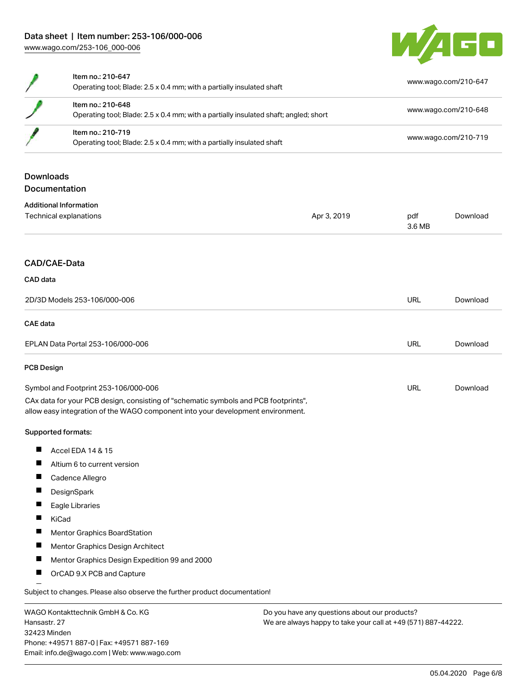32423 Minden

Phone: +49571 887-0 | Fax: +49571 887-169 Email: info.de@wago.com | Web: www.wago.com



|                                                   | Item no.: 210-647<br>Operating tool; Blade: 2.5 x 0.4 mm; with a partially insulated shaft                                                                             |                                                                                                                |               | www.wago.com/210-647 |  |
|---------------------------------------------------|------------------------------------------------------------------------------------------------------------------------------------------------------------------------|----------------------------------------------------------------------------------------------------------------|---------------|----------------------|--|
|                                                   | Item no.: 210-648<br>Operating tool; Blade: 2.5 x 0.4 mm; with a partially insulated shaft; angled; short                                                              |                                                                                                                |               | www.wago.com/210-648 |  |
|                                                   | Item no.: 210-719<br>Operating tool; Blade: 2.5 x 0.4 mm; with a partially insulated shaft                                                                             |                                                                                                                |               | www.wago.com/210-719 |  |
| <b>Downloads</b>                                  | Documentation                                                                                                                                                          |                                                                                                                |               |                      |  |
|                                                   | <b>Additional Information</b>                                                                                                                                          |                                                                                                                |               |                      |  |
| Technical explanations                            |                                                                                                                                                                        | Apr 3, 2019                                                                                                    | pdf<br>3.6 MB | Download             |  |
| CAD/CAE-Data                                      |                                                                                                                                                                        |                                                                                                                |               |                      |  |
| CAD data                                          |                                                                                                                                                                        |                                                                                                                |               |                      |  |
| 2D/3D Models 253-106/000-006                      |                                                                                                                                                                        |                                                                                                                | URL           | Download             |  |
| <b>CAE</b> data                                   |                                                                                                                                                                        |                                                                                                                |               |                      |  |
| EPLAN Data Portal 253-106/000-006                 |                                                                                                                                                                        |                                                                                                                | URL           | Download             |  |
| <b>PCB Design</b>                                 |                                                                                                                                                                        |                                                                                                                |               |                      |  |
| Symbol and Footprint 253-106/000-006              |                                                                                                                                                                        |                                                                                                                | URL           | Download             |  |
|                                                   | CAx data for your PCB design, consisting of "schematic symbols and PCB footprints",<br>allow easy integration of the WAGO component into your development environment. |                                                                                                                |               |                      |  |
|                                                   | Supported formats:                                                                                                                                                     |                                                                                                                |               |                      |  |
| ш                                                 | Accel EDA 14 & 15                                                                                                                                                      |                                                                                                                |               |                      |  |
| H                                                 | Altium 6 to current version                                                                                                                                            |                                                                                                                |               |                      |  |
|                                                   | Cadence Allegro                                                                                                                                                        |                                                                                                                |               |                      |  |
| ш                                                 | DesignSpark                                                                                                                                                            |                                                                                                                |               |                      |  |
|                                                   | Eagle Libraries                                                                                                                                                        |                                                                                                                |               |                      |  |
|                                                   | KiCad                                                                                                                                                                  |                                                                                                                |               |                      |  |
| ш                                                 | Mentor Graphics BoardStation                                                                                                                                           |                                                                                                                |               |                      |  |
| ш                                                 | Mentor Graphics Design Architect                                                                                                                                       |                                                                                                                |               |                      |  |
|                                                   | Mentor Graphics Design Expedition 99 and 2000                                                                                                                          |                                                                                                                |               |                      |  |
|                                                   | OrCAD 9.X PCB and Capture                                                                                                                                              |                                                                                                                |               |                      |  |
|                                                   | Subject to changes. Please also observe the further product documentation!                                                                                             |                                                                                                                |               |                      |  |
| WAGO Kontakttechnik GmbH & Co. KG<br>Hansastr. 27 |                                                                                                                                                                        | Do you have any questions about our products?<br>We are always happy to take your call at +49 (571) 887-44222. |               |                      |  |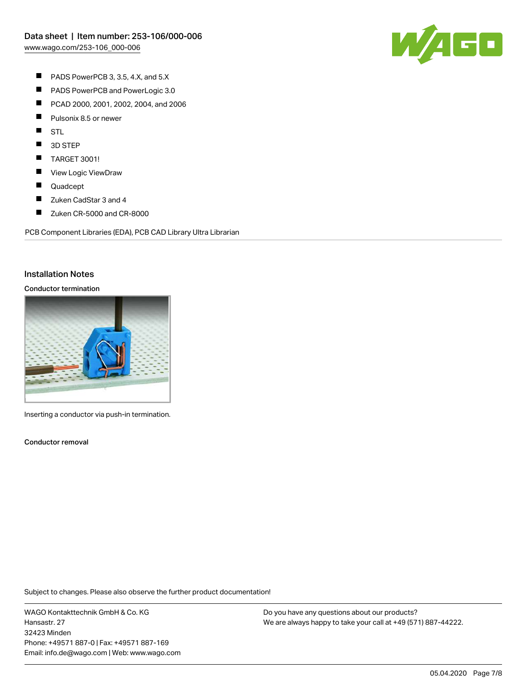

- $\blacksquare$ PADS PowerPCB 3, 3.5, 4.X, and 5.X
- $\blacksquare$ PADS PowerPCB and PowerLogic 3.0
- $\blacksquare$ PCAD 2000, 2001, 2002, 2004, and 2006
- $\blacksquare$ Pulsonix 8.5 or newer
- $\blacksquare$ STL
- $\blacksquare$ 3D STEP
- $\blacksquare$ TARGET 3001!
- П View Logic ViewDraw
- $\blacksquare$ Quadcept
- $\blacksquare$ Zuken CadStar 3 and 4
- $\blacksquare$ Zuken CR-5000 and CR-8000

PCB Component Libraries (EDA), PCB CAD Library Ultra Librarian

#### Installation Notes

### Conductor termination



Inserting a conductor via push-in termination.

Conductor removal

Subject to changes. Please also observe the further product documentation!

WAGO Kontakttechnik GmbH & Co. KG Hansastr. 27 32423 Minden Phone: +49571 887-0 | Fax: +49571 887-169 Email: info.de@wago.com | Web: www.wago.com